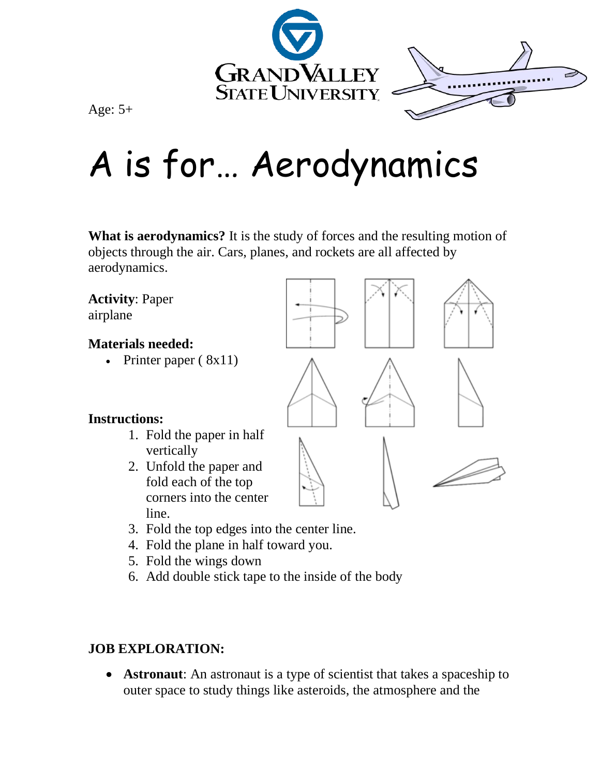

Age: 5+

## A is for… Aerodynamics

**What is aerodynamics?** It is the study of forces and the resulting motion of objects through the air. Cars, planes, and rockets are all affected by aerodynamics.

**Activity**: Paper airplane

## **Materials needed:**

• Printer paper  $(8x11)$ 

## **Instructions:**

- 1. Fold the paper in half vertically
- 2. Unfold the paper and fold each of the top corners into the center line.
- 







- 3. Fold the top edges into the center line.
- 4. Fold the plane in half toward you.
- 5. Fold the wings down
- 6. Add double stick tape to the inside of the body

## **JOB EXPLORATION:**

• **Astronaut:** An astronaut is a type of scientist that takes a spaceship to outer space to study things like asteroids, the atmosphere and the